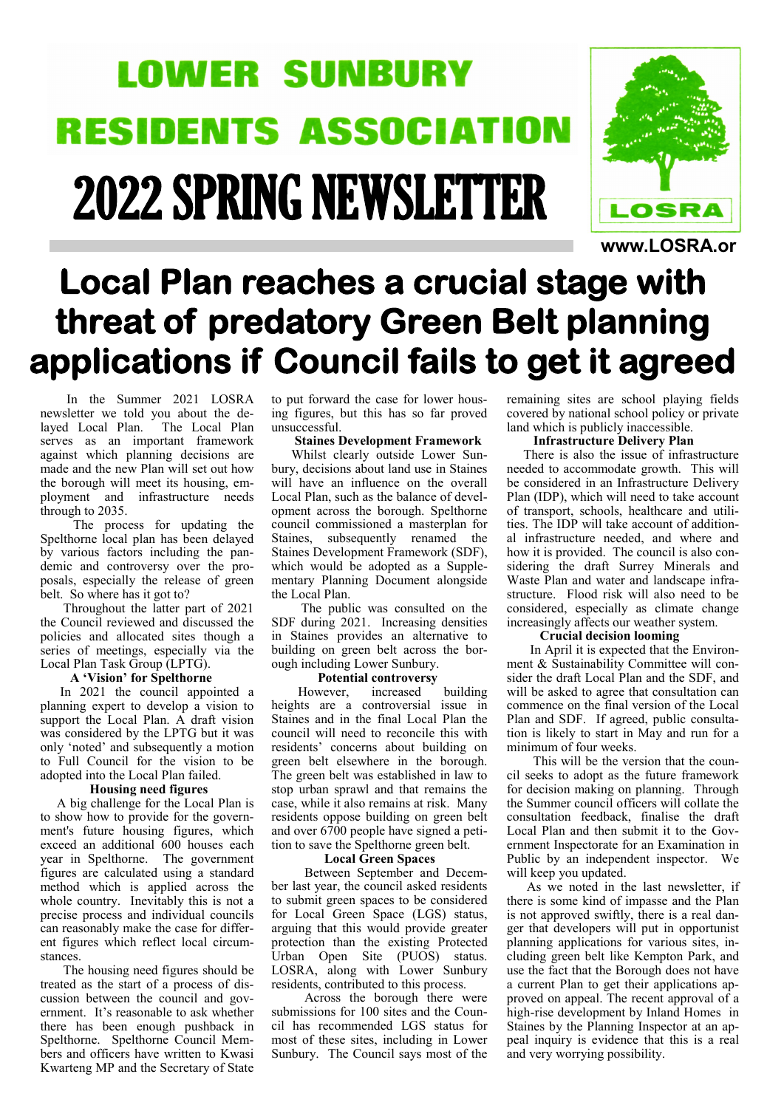# **LOWER SUNBURY RESIDENTS ASSOCIATION** 2022 SPRING NEWSLETTER



**www.LOSRA.or**

# **Local Plan reaches a crucial stage with threat of predatory Green Belt planning applications if Council fails to get it agreed**

 In the Summer 2021 LOSRA newsletter we told you about the delayed Local Plan. The Local Plan serves as an important framework against which planning decisions are made and the new Plan will set out how the borough will meet its housing, employment and infrastructure needs through to 2035.

 The process for updating the Spelthorne local plan has been delayed by various factors including the pandemic and controversy over the proposals, especially the release of green belt. So where has it got to?

 Throughout the latter part of 2021 the Council reviewed and discussed the policies and allocated sites though a series of meetings, especially via the Local Plan Task Group (LPTG).

### **A 'Vision' for Spelthorne**

 In 2021 the council appointed a planning expert to develop a vision to support the Local Plan. A draft vision was considered by the LPTG but it was only 'noted' and subsequently a motion to Full Council for the vision to be adopted into the Local Plan failed.

#### **Housing need figures**

 A big challenge for the Local Plan is to show how to provide for the government's future housing figures, which exceed an additional 600 houses each year in Spelthorne. The government figures are calculated using a standard method which is applied across the whole country. Inevitably this is not a precise process and individual councils can reasonably make the case for different figures which reflect local circumstances.

 The housing need figures should be treated as the start of a process of discussion between the council and government. It's reasonable to ask whether there has been enough pushback in Spelthorne. Spelthorne Council Members and officers have written to Kwasi Kwarteng MP and the Secretary of State

to put forward the case for lower housing figures, but this has so far proved unsuccessful.

#### **Staines Development Framework**

 Whilst clearly outside Lower Sunbury, decisions about land use in Staines will have an influence on the overall Local Plan, such as the balance of development across the borough. Spelthorne council commissioned a masterplan for Staines, subsequently renamed the Staines Development Framework (SDF), which would be adopted as a Supplementary Planning Document alongside the Local Plan.

 The public was consulted on the SDF during 2021. Increasing densities in Staines provides an alternative to building on green belt across the borough including Lower Sunbury.

#### **Potential controversy**

 However, increased building heights are a controversial issue in Staines and in the final Local Plan the council will need to reconcile this with residents' concerns about building on green belt elsewhere in the borough. The green belt was established in law to stop urban sprawl and that remains the case, while it also remains at risk. Many residents oppose building on green belt and over 6700 people have signed a petition to save the Spelthorne green belt.

#### **Local Green Spaces**

 Between September and December last year, the council asked residents to submit green spaces to be considered for Local Green Space (LGS) status, arguing that this would provide greater protection than the existing Protected Urban Open Site (PUOS) status. LOSRA, along with Lower Sunbury residents, contributed to this process.

 Across the borough there were submissions for 100 sites and the Council has recommended LGS status for most of these sites, including in Lower Sunbury. The Council says most of the

remaining sites are school playing fields covered by national school policy or private land which is publicly inaccessible.

### **Infrastructure Delivery Plan**

 There is also the issue of infrastructure needed to accommodate growth. This will be considered in an Infrastructure Delivery Plan (IDP), which will need to take account of transport, schools, healthcare and utilities. The IDP will take account of additional infrastructure needed, and where and how it is provided. The council is also considering the draft Surrey Minerals and Waste Plan and water and landscape infrastructure. Flood risk will also need to be considered, especially as climate change increasingly affects our weather system.

#### **Crucial decision looming**

 In April it is expected that the Environment & Sustainability Committee will consider the draft Local Plan and the SDF, and will be asked to agree that consultation can commence on the final version of the Local Plan and SDF. If agreed, public consultation is likely to start in May and run for a minimum of four weeks.

 This will be the version that the council seeks to adopt as the future framework for decision making on planning. Through the Summer council officers will collate the consultation feedback, finalise the draft Local Plan and then submit it to the Government Inspectorate for an Examination in Public by an independent inspector. We will keep you updated.

 As we noted in the last newsletter, if there is some kind of impasse and the Plan is not approved swiftly, there is a real danger that developers will put in opportunist planning applications for various sites, including green belt like Kempton Park, and use the fact that the Borough does not have a current Plan to get their applications approved on appeal. The recent approval of a high-rise development by Inland Homes in Staines by the Planning Inspector at an appeal inquiry is evidence that this is a real and very worrying possibility.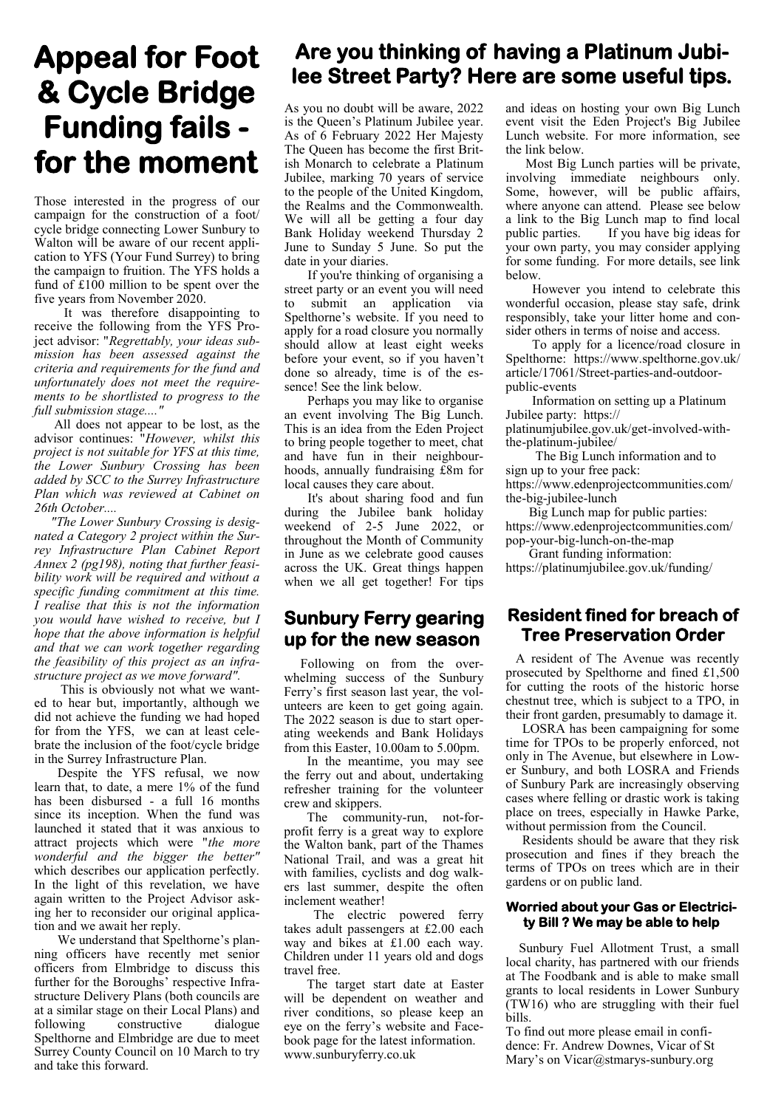# **Appeal for Foot & Cycle Bridge Funding fails for the moment**

Those interested in the progress of our campaign for the construction of a foot/ cycle bridge connecting Lower Sunbury to Walton will be aware of our recent application to YFS (Your Fund Surrey) to bring the campaign to fruition. The YFS holds a fund of £100 million to be spent over the five years from November 2020.

 It was therefore disappointing to receive the following from the YFS Project advisor: "*Regrettably, your ideas submission has been assessed against the criteria and requirements for the fund and unfortunately does not meet the requirements to be shortlisted to progress to the full submission stage...."*

 All does not appear to be lost, as the advisor continues: "*However, whilst this project is not suitable for YFS at this time, the Lower Sunbury Crossing has been added by SCC to the Surrey Infrastructure Plan which was reviewed at Cabinet on 26th October....*

 *"The Lower Sunbury Crossing is designated a Category 2 project within the Surrey Infrastructure Plan Cabinet Report Annex 2 (pg198), noting that further feasibility work will be required and without a specific funding commitment at this time. I realise that this is not the information you would have wished to receive, but I hope that the above information is helpful and that we can work together regarding the feasibility of this project as an infrastructure project as we move forward".*

 This is obviously not what we wanted to hear but, importantly, although we did not achieve the funding we had hoped for from the YFS, we can at least celebrate the inclusion of the foot/cycle bridge in the Surrey Infrastructure Plan.

 Despite the YFS refusal, we now learn that, to date, a mere 1% of the fund has been disbursed - a full 16 months since its inception. When the fund was launched it stated that it was anxious to attract projects which were "*the more wonderful and the bigger the better"*  which describes our application perfectly. In the light of this revelation, we have again written to the Project Advisor asking her to reconsider our original application and we await her reply.

 We understand that Spelthorne's planning officers have recently met senior officers from Elmbridge to discuss this further for the Boroughs' respective Infrastructure Delivery Plans (both councils are at a similar stage on their Local Plans) and following constructive dialogue Spelthorne and Elmbridge are due to meet Surrey County Council on 10 March to try and take this forward.

### **Are you thinking of having a Platinum Jubilee Street Party? Here are some useful tips.**

As you no doubt will be aware, 2022 is the Queen's Platinum Jubilee year. As of 6 February 2022 Her Majesty The Queen has become the first British Monarch to celebrate a Platinum Jubilee, marking 70 years of service to the people of the United Kingdom, the Realms and the Commonwealth. We will all be getting a four day Bank Holiday weekend Thursday 2 June to Sunday 5 June. So put the date in your diaries.

 If you're thinking of organising a street party or an event you will need to submit an application via Spelthorne's website. If you need to apply for a road closure you normally should allow at least eight weeks before your event, so if you haven't done so already, time is of the essence! See the link below.

 Perhaps you may like to organise an event involving The Big Lunch. This is an idea from the Eden Project to bring people together to meet, chat and have fun in their neighbourhoods, annually fundraising £8m for local causes they care about.

 It's about sharing food and fun during the Jubilee bank holiday weekend of 2-5 June 2022, or throughout the Month of Community in June as we celebrate good causes across the UK. Great things happen when we all get together! For tips

### **Sunbury Ferry gearing up for the new season**

 Following on from the overwhelming success of the Sunbury Ferry's first season last year, the volunteers are keen to get going again. The 2022 season is due to start operating weekends and Bank Holidays from this Easter, 10.00am to 5.00pm.

 In the meantime, you may see the ferry out and about, undertaking refresher training for the volunteer crew and skippers.

 The community-run, not-forprofit ferry is a great way to explore the Walton bank, part of the Thames National Trail, and was a great hit with families, cyclists and dog walkers last summer, despite the often inclement weather!

 The electric powered ferry takes adult passengers at £2.00 each way and bikes at £1.00 each way. Children under 11 years old and dogs travel free.

 The target start date at Easter will be dependent on weather and river conditions, so please keep an eye on the ferry's website and Facebook page for the latest information. www.sunburyferry.co.uk

and ideas on hosting your own Big Lunch event visit the Eden Project's Big Jubilee Lunch website. For more information, see the link below.

 Most Big Lunch parties will be private, involving immediate neighbours only. Some, however, will be public affairs, where anyone can attend. Please see below a link to the Big Lunch map to find local public parties. If you have big ideas for your own party, you may consider applying for some funding. For more details, see link below.

 However you intend to celebrate this wonderful occasion, please stay safe, drink responsibly, take your litter home and consider others in terms of noise and access.

 To apply for a licence/road closure in Spelthorne: https://www.spelthorne.gov.uk/ article/17061/Street-parties-and-outdoorpublic-events

 Information on setting up a Platinum Jubilee party: https://

platinumjubilee.gov.uk/get-involved-withthe-platinum-jubilee/

 The Big Lunch information and to sign up to your free pack:

https://www.edenprojectcommunities.com/ the-big-jubilee-lunch

 Big Lunch map for public parties: https://www.edenprojectcommunities.com/ pop-your-big-lunch-on-the-map

 Grant funding information: https://platinumjubilee.gov.uk/funding/

### **Resident fined for breach of Tree Preservation Order**

 A resident of The Avenue was recently prosecuted by Spelthorne and fined £1,500 for cutting the roots of the historic horse chestnut tree, which is subject to a TPO, in their front garden, presumably to damage it.

 LOSRA has been campaigning for some time for TPOs to be properly enforced, not only in The Avenue, but elsewhere in Lower Sunbury, and both LOSRA and Friends of Sunbury Park are increasingly observing cases where felling or drastic work is taking place on trees, especially in Hawke Parke, without permission from the Council.

 Residents should be aware that they risk prosecution and fines if they breach the terms of TPOs on trees which are in their gardens or on public land.

### **Worried about your Gas or Electricity Bill ? We may be able to help**

 Sunbury Fuel Allotment Trust, a small local charity, has partnered with our friends at The Foodbank and is able to make small grants to local residents in Lower Sunbury (TW16) who are struggling with their fuel bills.

To find out more please email in confidence: Fr. Andrew Downes, Vicar of St Mary's on Vicar@stmarys-sunbury.org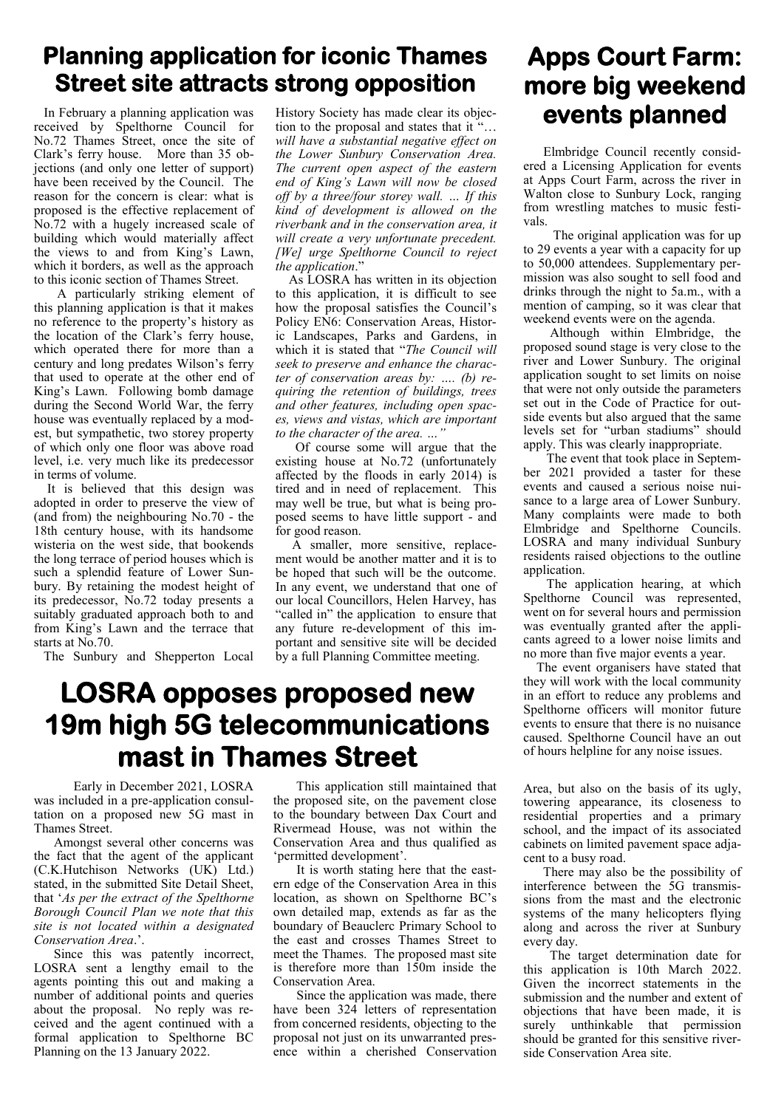### **Planning application for iconic Thames Street site attracts strong opposition**

 In February a planning application was received by Spelthorne Council for No.72 Thames Street, once the site of Clark's ferry house. More than 35 objections (and only one letter of support) have been received by the Council. The reason for the concern is clear: what is proposed is the effective replacement of No.72 with a hugely increased scale of building which would materially affect the views to and from King's Lawn, which it borders, as well as the approach to this iconic section of Thames Street.

 A particularly striking element of this planning application is that it makes no reference to the property's history as the location of the Clark's ferry house, which operated there for more than a century and long predates Wilson's ferry that used to operate at the other end of King's Lawn. Following bomb damage during the Second World War, the ferry house was eventually replaced by a modest, but sympathetic, two storey property of which only one floor was above road level, i.e. very much like its predecessor in terms of volume.

 It is believed that this design was adopted in order to preserve the view of (and from) the neighbouring No.70 - the 18th century house, with its handsome wisteria on the west side, that bookends the long terrace of period houses which is such a splendid feature of Lower Sunbury. By retaining the modest height of its predecessor, No.72 today presents a suitably graduated approach both to and from King's Lawn and the terrace that starts at No.70.

The Sunbury and Shepperton Local

History Society has made clear its objection to the proposal and states that it "… *will have a substantial negative effect on the Lower Sunbury Conservation Area. The current open aspect of the eastern end of King's Lawn will now be closed off by a three/four storey wall. … If this kind of development is allowed on the riverbank and in the conservation area, it will create a very unfortunate precedent. [We] urge Spelthorne Council to reject the application*."

 As LOSRA has written in its objection to this application, it is difficult to see how the proposal satisfies the Council's Policy EN6: Conservation Areas, Historic Landscapes, Parks and Gardens, in which it is stated that "*The Council will seek to preserve and enhance the character of conservation areas by: …. (b) requiring the retention of buildings, trees and other features, including open spaces, views and vistas, which are important to the character of the area. …"*

 Of course some will argue that the existing house at No.72 (unfortunately affected by the floods in early 2014) is tired and in need of replacement. This may well be true, but what is being proposed seems to have little support - and for good reason.

 A smaller, more sensitive, replacement would be another matter and it is to be hoped that such will be the outcome. In any event, we understand that one of our local Councillors, Helen Harvey, has "called in" the application to ensure that any future re-development of this important and sensitive site will be decided by a full Planning Committee meeting.

### **LOSRA opposes proposed new 19m high 5G telecommunications mast in Thames Street**

 Early in December 2021, LOSRA was included in a pre-application consultation on a proposed new 5G mast in Thames Street.

 Amongst several other concerns was the fact that the agent of the applicant (C.K.Hutchison Networks (UK) Ltd.) stated, in the submitted Site Detail Sheet, that '*As per the extract of the Spelthorne Borough Council Plan we note that this site is not located within a designated Conservation Area*.'.

 Since this was patently incorrect, LOSRA sent a lengthy email to the agents pointing this out and making a number of additional points and queries about the proposal. No reply was received and the agent continued with a formal application to Spelthorne BC Planning on the 13 January 2022.

 This application still maintained that the proposed site, on the pavement close to the boundary between Dax Court and Rivermead House, was not within the Conservation Area and thus qualified as 'permitted development'.

 It is worth stating here that the eastern edge of the Conservation Area in this location, as shown on Spelthorne BC's own detailed map, extends as far as the boundary of Beauclerc Primary School to the east and crosses Thames Street to meet the Thames. The proposed mast site is therefore more than 150m inside the Conservation Area.

 Since the application was made, there have been 324 letters of representation from concerned residents, objecting to the proposal not just on its unwarranted presence within a cherished Conservation

### **Apps Court Farm: more big weekend events planned**

 Elmbridge Council recently considered a Licensing Application for events at Apps Court Farm, across the river in Walton close to Sunbury Lock, ranging from wrestling matches to music festivals.

 The original application was for up to 29 events a year with a capacity for up to 50,000 attendees. Supplementary permission was also sought to sell food and drinks through the night to 5a.m., with a mention of camping, so it was clear that weekend events were on the agenda.

 Although within Elmbridge, the proposed sound stage is very close to the river and Lower Sunbury. The original application sought to set limits on noise that were not only outside the parameters set out in the Code of Practice for outside events but also argued that the same levels set for "urban stadiums" should apply. This was clearly inappropriate.

 The event that took place in September 2021 provided a taster for these events and caused a serious noise nuisance to a large area of Lower Sunbury. Many complaints were made to both Elmbridge and Spelthorne Councils. LOSRA and many individual Sunbury residents raised objections to the outline application.

 The application hearing, at which Spelthorne Council was represented, went on for several hours and permission was eventually granted after the applicants agreed to a lower noise limits and no more than five major events a year.

 The event organisers have stated that they will work with the local community in an effort to reduce any problems and Spelthorne officers will monitor future events to ensure that there is no nuisance caused. Spelthorne Council have an out of hours helpline for any noise issues.

Area, but also on the basis of its ugly, towering appearance, its closeness to residential properties and a primary school, and the impact of its associated cabinets on limited pavement space adjacent to a busy road.

 There may also be the possibility of interference between the 5G transmissions from the mast and the electronic systems of the many helicopters flying along and across the river at Sunbury every day.

 The target determination date for this application is 10th March 2022. Given the incorrect statements in the submission and the number and extent of objections that have been made, it is surely unthinkable that permission should be granted for this sensitive riverside Conservation Area site.